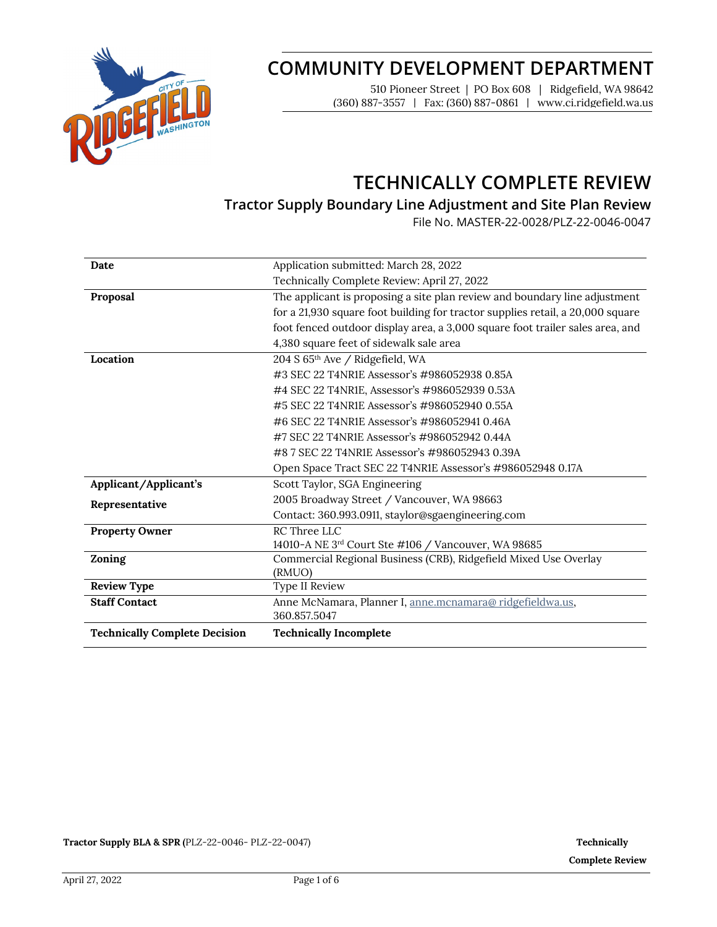

# **COMMUNITY DEVELOPMENT DEPARTMENT**

510 Pioneer Street | PO Box 608 | Ridgefield, WA 98642 (360) 887-3557 | Fax: (360) 887-0861 | www.ci.ridgefield.wa.us

# **TECHNICALLY COMPLETE REVIEW**

**Tractor Supply Boundary Line Adjustment and Site Plan Review**

File No. MASTER-22-0028/PLZ-22-0046-0047

| Date                                 | Application submitted: March 28, 2022                                          |  |  |
|--------------------------------------|--------------------------------------------------------------------------------|--|--|
|                                      | Technically Complete Review: April 27, 2022                                    |  |  |
| Proposal                             | The applicant is proposing a site plan review and boundary line adjustment     |  |  |
|                                      | for a 21,930 square foot building for tractor supplies retail, a 20,000 square |  |  |
|                                      | foot fenced outdoor display area, a 3,000 square foot trailer sales area, and  |  |  |
|                                      | 4,380 square feet of sidewalk sale area                                        |  |  |
| Location                             | 204 S 65 <sup>th</sup> Ave / Ridgefield, WA                                    |  |  |
|                                      | #3 SEC 22 T4NR1E Assessor's #986052938 0.85A                                   |  |  |
|                                      | #4 SEC 22 T4NR1E, Assessor's #986052939 0.53A                                  |  |  |
|                                      | #5 SEC 22 T4NR1E Assessor's #986052940 0.55A                                   |  |  |
|                                      | #6 SEC 22 T4NR1E Assessor's #986052941 0.46A                                   |  |  |
|                                      | #7 SEC 22 T4NR1E Assessor's #986052942 0.44A                                   |  |  |
|                                      | #87 SEC 22 T4NR1E Assessor's #986052943 0.39A                                  |  |  |
|                                      | Open Space Tract SEC 22 T4NR1E Assessor's #986052948 0.17A                     |  |  |
| Applicant/Applicant's                | Scott Taylor, SGA Engineering                                                  |  |  |
| Representative                       | 2005 Broadway Street / Vancouver, WA 98663                                     |  |  |
|                                      | Contact: 360.993.0911, staylor@sgaengineering.com                              |  |  |
| <b>Property Owner</b>                | RC Three LLC                                                                   |  |  |
|                                      | 14010-A NE 3rd Court Ste #106 / Vancouver, WA 98685                            |  |  |
| Zoning                               | Commercial Regional Business (CRB), Ridgefield Mixed Use Overlay               |  |  |
|                                      | (RMUO)                                                                         |  |  |
| <b>Review Type</b>                   | Type II Review                                                                 |  |  |
| <b>Staff Contact</b>                 | Anne McNamara, Planner I, anne.mcnamara@ ridgefieldwa.us,                      |  |  |
|                                      | 360.857.5047                                                                   |  |  |
| <b>Technically Complete Decision</b> | <b>Technically Incomplete</b>                                                  |  |  |

**Tractor Supply BLA & SPR (**PLZ-22-0046- PLZ-22-0047) **Technically**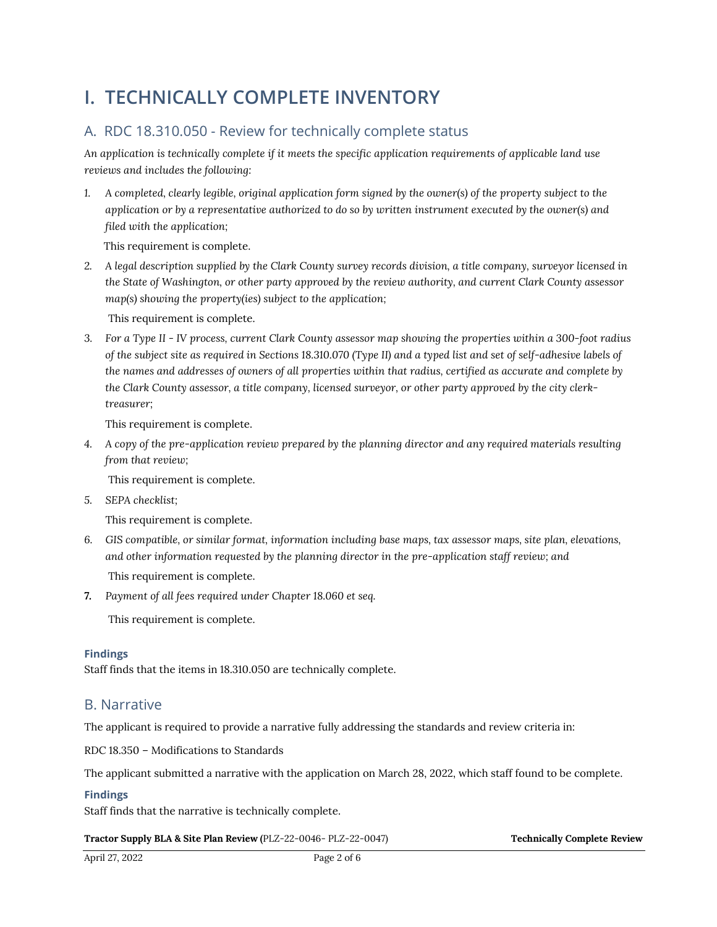# **I. TECHNICALLY COMPLETE INVENTORY**

## A. RDC 18.310.050 - Review for technically complete status

*An application is technically complete if it meets the specific application requirements of applicable land use reviews and includes the following:*

*1. A completed, clearly legible, original application form signed by the owner(s) of the property subject to the application or by a representative authorized to do so by written instrument executed by the owner(s) and filed with the application;* 

This requirement is complete.

*2. A legal description supplied by the Clark County survey records division, a title company, surveyor licensed in the State of Washington, or other party approved by the review authority, and current Clark County assessor map(s) showing the property(ies) subject to the application;*

This requirement is complete.

*3. For a Type II - IV process, current Clark County assessor map showing the properties within a 300-foot radius of the subject site as required in Sections 18.310.070 (Type II) and a typed list and set of self-adhesive labels of the names and addresses of owners of all properties within that radius, certified as accurate and complete by the Clark County assessor, a title company, licensed surveyor, or other party approved by the city clerktreasurer;*

This requirement is complete.

*4. A copy of the pre-application review prepared by the planning director and any required materials resulting from that review;*

This requirement is complete.

*5. SEPA checklist;*

This requirement is complete.

- *6. GIS compatible, or similar format, information including base maps, tax assessor maps, site plan, elevations, and other information requested by the planning director in the pre-application staff review; and* This requirement is complete.
- *7. Payment of all fees required under Chapter 18.060 et seq.*

This requirement is complete.

#### **Findings**

Staff finds that the items in 18.310.050 are technically complete.

### B. Narrative

The applicant is required to provide a narrative fully addressing the standards and review criteria in:

RDC 18.350 – Modifications to Standards

The applicant submitted a narrative with the application on March 28, 2022, which staff found to be complete.

#### **Findings**

Staff finds that the narrative is technically complete.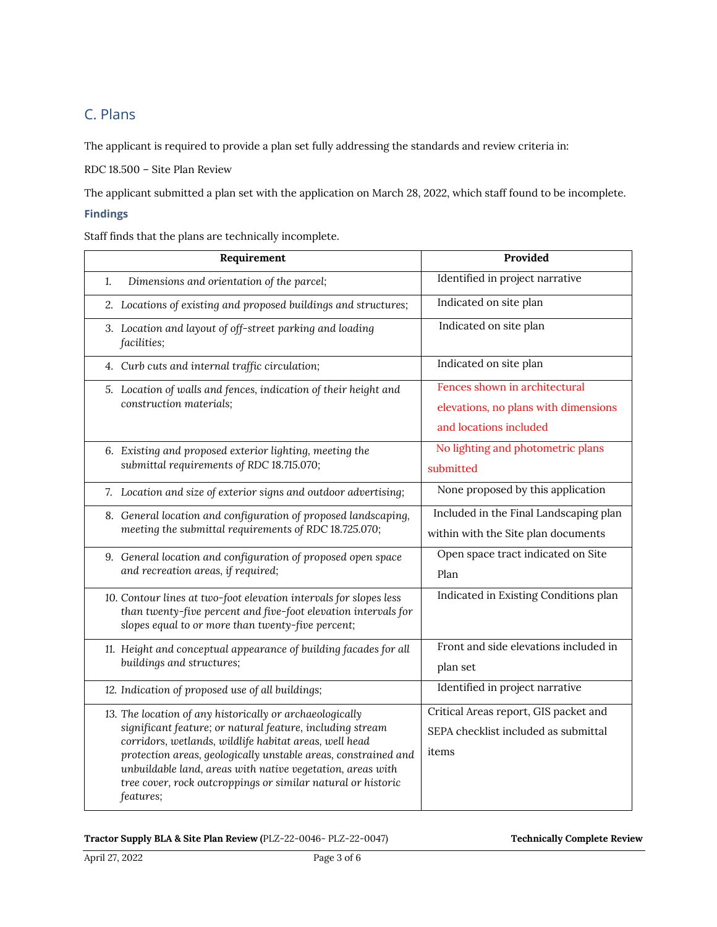# C. Plans

The applicant is required to provide a plan set fully addressing the standards and review criteria in:

RDC 18.500 – Site Plan Review

The applicant submitted a plan set with the application on March 28, 2022, which staff found to be incomplete.

#### **Findings**

Staff finds that the plans are technically incomplete.

| Requirement                                                |                                                                                                                          | Provided                                                              |
|------------------------------------------------------------|--------------------------------------------------------------------------------------------------------------------------|-----------------------------------------------------------------------|
| 1.                                                         | Dimensions and orientation of the parcel;                                                                                | Identified in project narrative                                       |
|                                                            | 2. Locations of existing and proposed buildings and structures;                                                          | Indicated on site plan                                                |
|                                                            | 3. Location and layout of off-street parking and loading<br>facilities;                                                  | Indicated on site plan                                                |
|                                                            | 4. Curb cuts and internal traffic circulation;                                                                           | Indicated on site plan                                                |
|                                                            | 5. Location of walls and fences, indication of their height and<br>construction materials;                               | Fences shown in architectural<br>elevations, no plans with dimensions |
|                                                            |                                                                                                                          |                                                                       |
|                                                            |                                                                                                                          | and locations included                                                |
|                                                            | 6. Existing and proposed exterior lighting, meeting the                                                                  | No lighting and photometric plans                                     |
|                                                            | submittal requirements of RDC 18.715.070;                                                                                | submitted                                                             |
|                                                            | 7. Location and size of exterior signs and outdoor advertising;                                                          | None proposed by this application                                     |
|                                                            | 8. General location and configuration of proposed landscaping,                                                           | Included in the Final Landscaping plan                                |
|                                                            | meeting the submittal requirements of RDC 18.725.070;                                                                    | within with the Site plan documents                                   |
|                                                            | 9. General location and configuration of proposed open space<br>and recreation areas, if required;                       | Open space tract indicated on Site                                    |
|                                                            |                                                                                                                          | Plan                                                                  |
|                                                            | 10. Contour lines at two-foot elevation intervals for slopes less                                                        | Indicated in Existing Conditions plan                                 |
|                                                            | than twenty-five percent and five-foot elevation intervals for<br>slopes equal to or more than twenty-five percent;      |                                                                       |
|                                                            | 11. Height and conceptual appearance of building facades for all<br>buildings and structures;                            | Front and side elevations included in                                 |
|                                                            |                                                                                                                          | plan set                                                              |
|                                                            | 12. Indication of proposed use of all buildings;                                                                         | Identified in project narrative                                       |
|                                                            | 13. The location of any historically or archaeologically                                                                 | Critical Areas report, GIS packet and                                 |
|                                                            | significant feature; or natural feature, including stream                                                                | SEPA checklist included as submittal                                  |
|                                                            | corridors, wetlands, wildlife habitat areas, well head<br>protection areas, geologically unstable areas, constrained and | items                                                                 |
| unbuildable land, areas with native vegetation, areas with |                                                                                                                          |                                                                       |
|                                                            | tree cover, rock outcroppings or similar natural or historic                                                             |                                                                       |
|                                                            | features;                                                                                                                |                                                                       |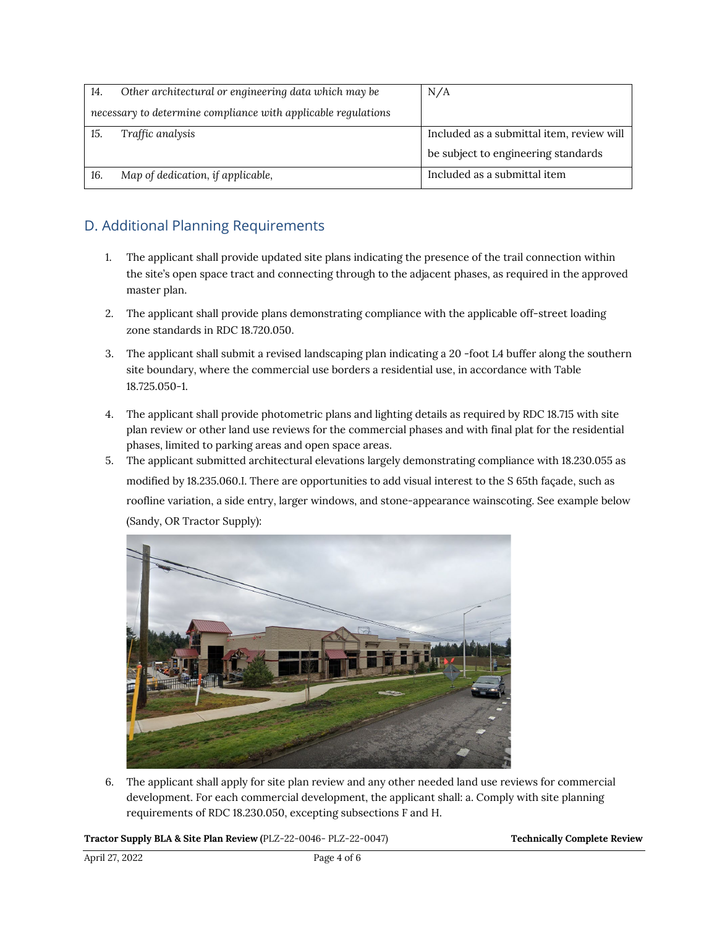| 14.                                                           | Other architectural or engineering data which may be | N/A                                       |
|---------------------------------------------------------------|------------------------------------------------------|-------------------------------------------|
| necessary to determine compliance with applicable regulations |                                                      |                                           |
| 15.                                                           | Traffic analysis                                     | Included as a submittal item, review will |
|                                                               |                                                      | be subject to engineering standards       |
| 16.                                                           | Map of dedication, if applicable,                    | Included as a submittal item              |

# D. Additional Planning Requirements

- 1. The applicant shall provide updated site plans indicating the presence of the trail connection within the site's open space tract and connecting through to the adjacent phases, as required in the approved master plan.
- 2. The applicant shall provide plans demonstrating compliance with the applicable off-street loading zone standards in RDC 18.720.050.
- 3. The applicant shall submit a revised landscaping plan indicating a 20 -foot L4 buffer along the southern site boundary, where the commercial use borders a residential use, in accordance with Table 18.725.050-1.
- 4. The applicant shall provide photometric plans and lighting details as required by RDC 18.715 with site plan review or other land use reviews for the commercial phases and with final plat for the residential phases, limited to parking areas and open space areas.
- 5. The applicant submitted architectural elevations largely demonstrating compliance with 18.230.055 as modified by 18.235.060.I. There are opportunities to add visual interest to the S 65th façade, such as roofline variation, a side entry, larger windows, and stone-appearance wainscoting. See example below (Sandy, OR Tractor Supply):



6. The applicant shall apply for site plan review and any other needed land use reviews for commercial development. For each commercial development, the applicant shall: a. Comply with site planning requirements of RDC 18.230.050, excepting subsections F and H.